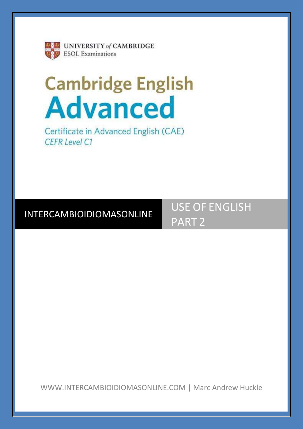

# **Cambridge English<br>Advanced**

Certificate in Advanced English (CAE) **CEFR Level C1** 

# INTERCAMBIOIDIOMASONLINE

USE OF ENGLISH PART 2

WWW.INTERCAMBIOIDIOMASONLINE.COM | Marc Andrew Huckle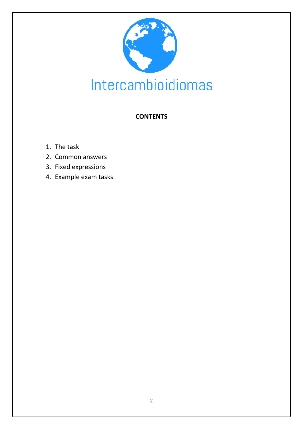

### **CONTENTS**

- 1. The task
- 2. Common answers
- 3. Fixed expressions
- 4. Example exam tasks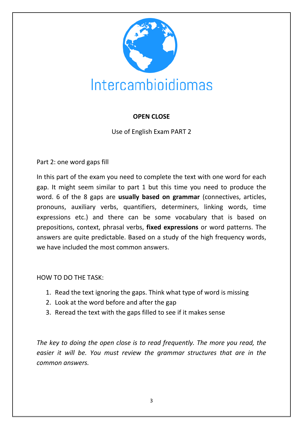

### **OPEN CLOSE**

Use of English Exam PART 2

Part 2: one word gaps fill

In this part of the exam you need to complete the text with one word for each gap. It might seem similar to part 1 but this time you need to produce the word. 6 of the 8 gaps are **usually based on grammar** (connectives, articles, pronouns, auxiliary verbs, quantifiers, determiners, linking words, time expressions etc.) and there can be some vocabulary that is based on prepositions, context, phrasal verbs, **fixed expressions** or word patterns. The answers are quite predictable. Based on a study of the high frequency words, we have included the most common answers.

HOW TO DO THE TASK:

- 1. Read the text ignoring the gaps. Think what type of word is missing
- 2. Look at the word before and after the gap
- 3. Reread the text with the gaps filled to see if it makes sense

*The key to doing the open close is to read frequently. The more you read, the easier it will be. You must review the grammar structures that are in the common answers.*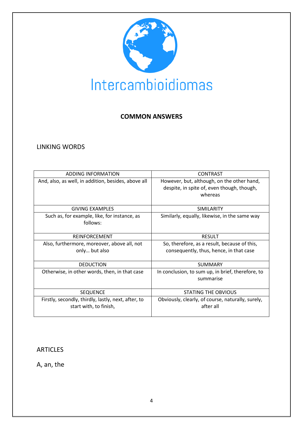

### **COMMON ANSWERS**

### LINKING WORDS

| ADDING INFORMATION                                  | <b>CONTRAST</b>                                   |  |
|-----------------------------------------------------|---------------------------------------------------|--|
| And, also, as well, in addition, besides, above all | However, but, although, on the other hand,        |  |
|                                                     | despite, in spite of, even though, though,        |  |
|                                                     | whereas                                           |  |
|                                                     |                                                   |  |
| <b>GIVING EXAMPLES</b>                              | <b>SIMILARITY</b>                                 |  |
| Such as, for example, like, for instance, as        | Similarly, equally, likewise, in the same way     |  |
| follows:                                            |                                                   |  |
|                                                     |                                                   |  |
| <b>REINFORCEMENT</b>                                | <b>RESULT</b>                                     |  |
| Also, furthermore, moreover, above all, not         | So, therefore, as a result, because of this,      |  |
| only but also                                       | consequently, thus, hence, in that case           |  |
|                                                     |                                                   |  |
| <b>DEDUCTION</b>                                    | <b>SUMMARY</b>                                    |  |
| Otherwise, in other words, then, in that case       | In conclusion, to sum up, in brief, therefore, to |  |
|                                                     | summarise                                         |  |
|                                                     |                                                   |  |
| <b>SEQUENCE</b>                                     | <b>STATING THE OBVIOUS</b>                        |  |
| Firstly, secondly, thirdly, lastly, next, after, to | Obviously, clearly, of course, naturally, surely, |  |
| start with, to finish,                              | after all                                         |  |
|                                                     |                                                   |  |

### ARTICLES

A, an, the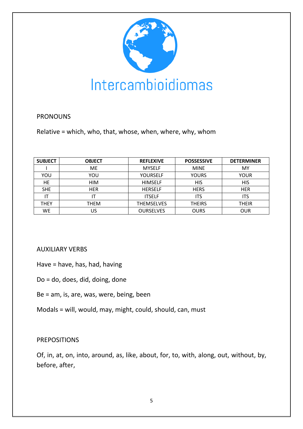

### PRONOUNS

Relative = which, who, that, whose, when, where, why, whom

| <b>SUBJECT</b> | <b>OBJECT</b> | <b>REFLEXIVE</b>  | <b>POSSESSIVE</b> | <b>DETERMINER</b> |
|----------------|---------------|-------------------|-------------------|-------------------|
|                | ME            | <b>MYSELF</b>     | <b>MINE</b>       | MY                |
| YOU            | YOU           | YOURSELF          | <b>YOURS</b>      | <b>YOUR</b>       |
| HE             | <b>HIM</b>    | <b>HIMSELF</b>    | <b>HIS</b>        | HIS               |
| <b>SHE</b>     | <b>HER</b>    | <b>HERSELF</b>    | <b>HERS</b>       | <b>HER</b>        |
|                |               | <b>ITSELF</b>     | ITS               | ITS               |
| THEY           | <b>THEM</b>   | <b>THEMSELVES</b> | <b>THEIRS</b>     | <b>THEIR</b>      |
| <b>WE</b>      | US            | <b>OURSELVES</b>  | <b>OURS</b>       | OUR               |

### AUXILIARY VERBS

- Have = have, has, had, having
- Do = do, does, did, doing, done
- Be = am, is, are, was, were, being, been
- Modals = will, would, may, might, could, should, can, must

### PREPOSITIONS

Of, in, at, on, into, around, as, like, about, for, to, with, along, out, without, by, before, after,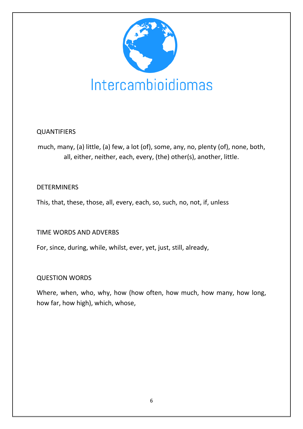

### **QUANTIFIERS**

much, many, (a) little, (a) few, a lot (of), some, any, no, plenty (of), none, both, all, either, neither, each, every, (the) other(s), another, little.

### **DETERMINERS**

This, that, these, those, all, every, each, so, such, no, not, if, unless

TIME WORDS AND ADVERBS

For, since, during, while, whilst, ever, yet, just, still, already,

QUESTION WORDS

Where, when, who, why, how (how often, how much, how many, how long, how far, how high), which, whose,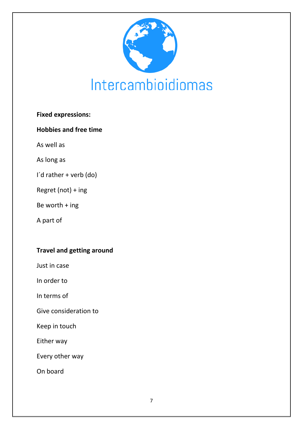

### **Fixed expressions:**

### **Hobbies and free time**

As well as

As long as

I´d rather + verb (do)

### Regret (not) + ing

Be worth + ing

A part of

### **Travel and getting around**

Just in case

In order to

In terms of

Give consideration to

Keep in touch

Either way

Every other way

On board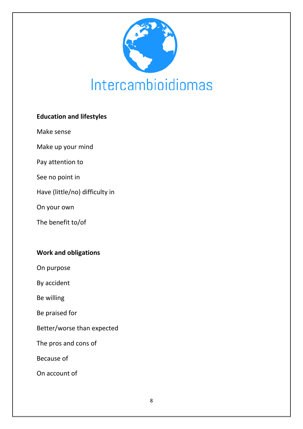

### **Education and lifestyles**

Make sense

Make up your mind

Pay attention to

See no point in

Have (little/no) difficulty in

On your own

The benefit to/of

### **Work and obligations**

On purpose

By accident

Be willing

Be praised for

Better/worse than expected

The pros and cons of

Because of

On account of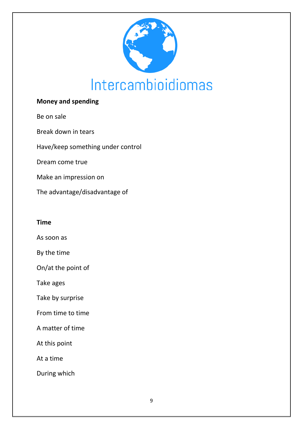

### **Money and spending**

Be on sale

Break down in tears

Have/keep something under control

Dream come true

Make an impression on

The advantage/disadvantage of

### **Time**

As soon as

By the time

On/at the point of

Take ages

Take by surprise

From time to time

A matter of time

At this point

At a time

During which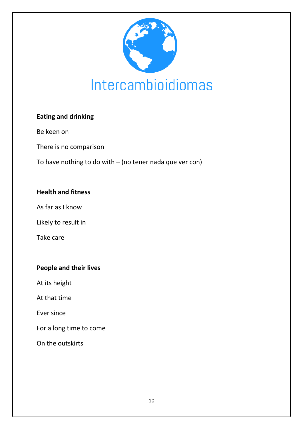

### **Eating and drinking**

Be keen on

There is no comparison

To have nothing to do with – (no tener nada que ver con)

### **Health and fitness**

As far as I know

Likely to result in

Take care

### **People and their lives**

At its height

At that time

Ever since

For a long time to come

On the outskirts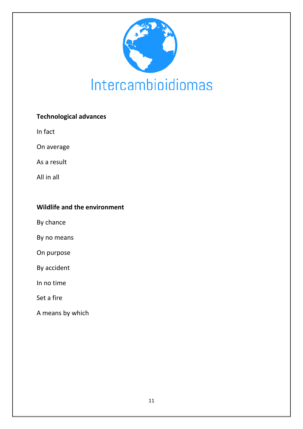

## **Technological advances**

In fact

On average

As a result

All in all

### **Wildlife and the environment**

By chance

By no means

On purpose

By accident

In no time

Set a fire

A means by which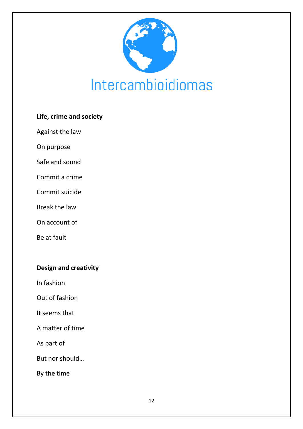

### **Life, crime and society**

Against the law

On purpose

Safe and sound

Commit a crime

Commit suicide

Break the law

On account of

Be at fault

### **Design and creativity**

In fashion

Out of fashion

It seems that

A matter of time

As part of

But nor should…

By the time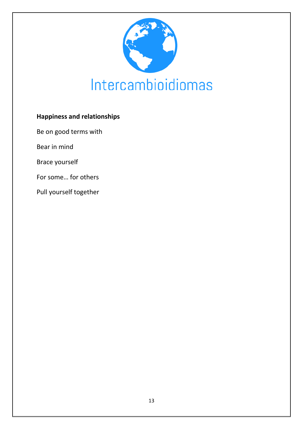

# **Happiness and relationships**

Be on good terms with

Bear in mind

Brace yourself

For some… for others

Pull yourself together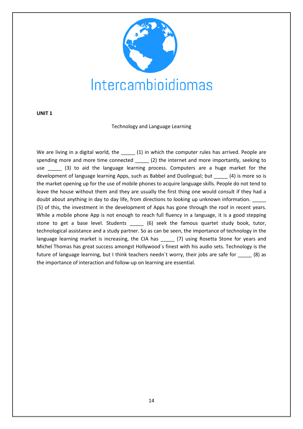

Technology and Language Learning

We are living in a digital world, the \_\_\_\_\_ (1) in which the computer rules has arrived. People are spending more and more time connected \_\_\_\_\_ (2) the internet and more importantly, seeking to use \_\_\_\_\_ (3) to aid the language learning process. Computers are a huge market for the development of language learning Apps, such as Babbel and Duolingual; but (4) is more so is the market opening up for the use of mobile phones to acquire language skills. People do not tend to leave the house without them and they are usually the first thing one would consult if they had a doubt about anything in day to day life, from directions to looking up unknown information. (5) of this, the investment in the development of Apps has gone through the roof in recent years. While a mobile phone App is not enough to reach full fluency in a language, it is a good stepping stone to get a base level. Students \_\_\_\_\_ (6) seek the famous quartet study book, tutor, technological assistance and a study partner. So as can be seen, the importance of technology in the language learning market is increasing, the CIA has (7) using Rosetta Stone for years and Michel Thomas has great success amongst Hollywood´s finest with his audio sets. Technology is the future of language learning, but I think teachers needn't worry, their jobs are safe for (8) as the importance of interaction and follow-up on learning are essential.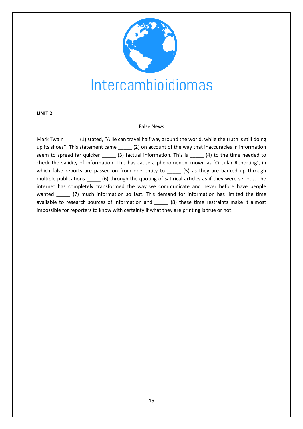

### False News

Mark Twain \_\_\_\_\_ (1) stated, "A lie can travel half way around the world, while the truth is still doing up its shoes". This statement came \_\_\_\_\_ (2) on account of the way that inaccuracies in information seem to spread far quicker \_\_\_\_\_ (3) factual information. This is \_\_\_\_\_ (4) to the time needed to check the validity of information. This has cause a phenomenon known as ´Circular Reporting´, in which false reports are passed on from one entity to  $(5)$  as they are backed up through multiple publications \_\_\_\_\_ (6) through the quoting of satirical articles as if they were serious. The internet has completely transformed the way we communicate and never before have people wanted \_\_\_\_\_ (7) much information so fast. This demand for information has limited the time available to research sources of information and \_\_\_\_\_ (8) these time restraints make it almost impossible for reporters to know with certainty if what they are printing is true or not.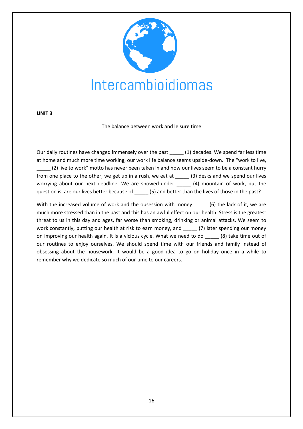

The balance between work and leisure time

Our daily routines have changed immensely over the past \_\_\_\_\_ (1) decades. We spend far less time at home and much more time working, our work life balance seems upside-down. The "work to live, \_\_\_\_\_ (2) live to work" motto has never been taken in and now our lives seem to be a constant hurry from one place to the other, we get up in a rush, we eat at \_\_\_\_\_ (3) desks and we spend our lives worrying about our next deadline. We are snowed-under \_\_\_\_\_ (4) mountain of work, but the question is, are our lives better because of \_\_\_\_\_ (5) and better than the lives of those in the past?

With the increased volume of work and the obsession with money (6) the lack of it, we are much more stressed than in the past and this has an awful effect on our health. Stress is the greatest threat to us in this day and ages, far worse than smoking, drinking or animal attacks. We seem to work constantly, putting our health at risk to earn money, and (7) later spending our money on improving our health again. It is a vicious cycle. What we need to do \_\_\_\_\_ (8) take time out of our routines to enjoy ourselves. We should spend time with our friends and family instead of obsessing about the housework. It would be a good idea to go on holiday once in a while to remember why we dedicate so much of our time to our careers.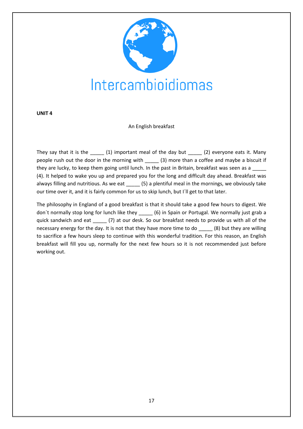

An English breakfast

They say that it is the  $\qquad$  (1) important meal of the day but  $\qquad$  (2) everyone eats it. Many people rush out the door in the morning with \_\_\_\_\_ (3) more than a coffee and maybe a biscuit if they are lucky, to keep them going until lunch. In the past in Britain, breakfast was seen as a (4). It helped to wake you up and prepared you for the long and difficult day ahead. Breakfast was always filling and nutritious. As we eat \_\_\_\_\_ (5) a plentiful meal in the mornings, we obviously take our time over it, and it is fairly common for us to skip lunch, but I´ll get to that later.

The philosophy in England of a good breakfast is that it should take a good few hours to digest. We don't normally stop long for lunch like they (6) in Spain or Portugal. We normally just grab a quick sandwich and eat \_\_\_\_\_ (7) at our desk. So our breakfast needs to provide us with all of the necessary energy for the day. It is not that they have more time to do  $(8)$  but they are willing to sacrifice a few hours sleep to continue with this wonderful tradition. For this reason, an English breakfast will fill you up, normally for the next few hours so it is not recommended just before working out.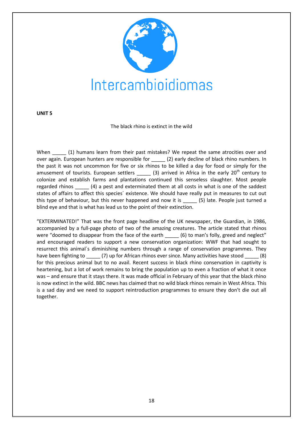

The black rhino is extinct in the wild

When  $(1)$  humans learn from their past mistakes? We repeat the same atrocities over and over again. European hunters are responsible for (2) early decline of black rhino numbers. In the past it was not uncommon for five or six rhinos to be killed a day for food or simply for the amusement of tourists. European settlers  $\frac{1}{\sqrt{3}}$  arrived in Africa in the early 20<sup>th</sup> century to colonize and establish farms and plantations continued this senseless slaughter. Most people regarded rhinos (4) a pest and exterminated them at all costs in what is one of the saddest states of affairs to affect this species´ existence. We should have really put in measures to cut out this type of behaviour, but this never happened and now it is [5] late. People just turned a blind eye and that is what has lead us to the point of their extinction.

"EXTERMINATED!" That was the front page headline of the UK newspaper, the Guardian, in 1986, accompanied by a full-page photo of two of the amazing creatures. The article stated that rhinos were "doomed to disappear from the face of the earth \_\_\_\_\_\_ (6) to man's folly, greed and neglect" and encouraged readers to support a new conservation organization: WWF that had sought to resurrect this animal´s diminishing numbers through a range of conservation programmes. They have been fighting to  $(7)$  up for African rhinos ever since. Many activities have stood  $(8)$ for this precious animal but to no avail. Recent success in black rhino conservation in captivity is heartening, but a lot of work remains to bring the population up to even a fraction of what it once was – and ensure that it stays there. It was made official in February of this year that the black rhino is now extinct in the wild. BBC news has claimed that no wild black rhinos remain in West Africa. This is a sad day and we need to support reintroduction programmes to ensure they don't die out all together.